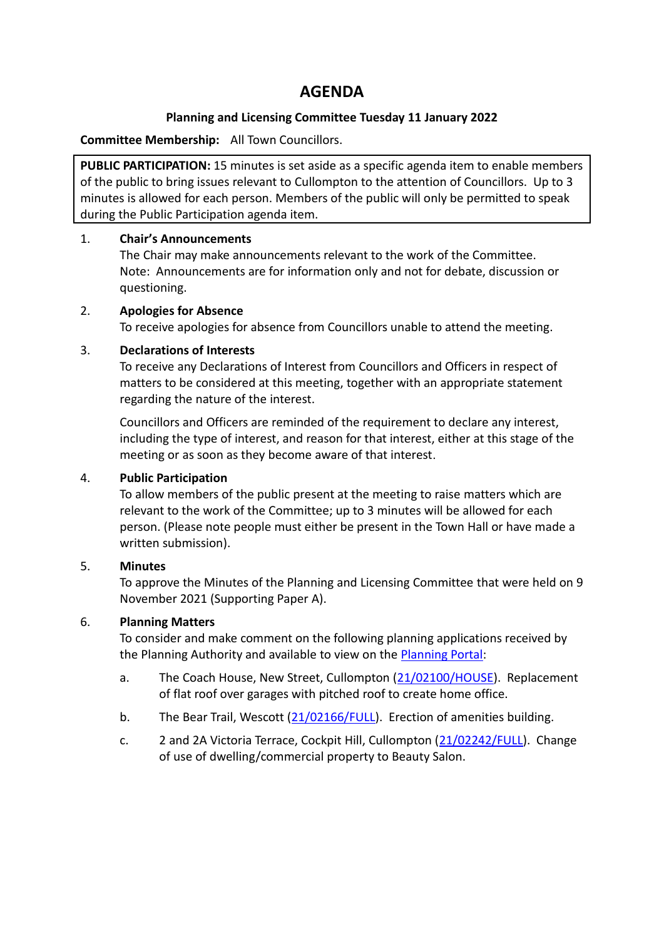# **AGENDA**

### **Planning and Licensing Committee Tuesday 11 January 2022**

### **Committee Membership:** All Town Councillors.

**PUBLIC PARTICIPATION:** 15 minutes is set aside as a specific agenda item to enable members of the public to bring issues relevant to Cullompton to the attention of Councillors. Up to 3 minutes is allowed for each person. Members of the public will only be permitted to speak during the Public Participation agenda item.

### 1. **Chair's Announcements**

The Chair may make announcements relevant to the work of the Committee. Note: Announcements are for information only and not for debate, discussion or questioning.

### 2. **Apologies for Absence**

To receive apologies for absence from Councillors unable to attend the meeting.

### 3. **Declarations of Interests**

To receive any Declarations of Interest from Councillors and Officers in respect of matters to be considered at this meeting, together with an appropriate statement regarding the nature of the interest.

Councillors and Officers are reminded of the requirement to declare any interest, including the type of interest, and reason for that interest, either at this stage of the meeting or as soon as they become aware of that interest.

## 4. **Public Participation**

To allow members of the public present at the meeting to raise matters which are relevant to the work of the Committee; up to 3 minutes will be allowed for each person. (Please note people must either be present in the Town Hall or have made a written submission).

## 5. **Minutes**

To approve the Minutes of the Planning and Licensing Committee that were held on 9 November 2021 (Supporting Paper A).

## 6. **Planning Matters**

To consider and make comment on the following planning applications received by the Planning Authority and available to view on the [Planning Portal:](https://planning.middevon.gov.uk/online-applications/)

- a. The Coach House, New Street, Cullompton [\(21/02100/HOUSE\)](https://planning.middevon.gov.uk/online-applications/applicationDetails.do?activeTab=documents&keyVal=R1J3XGKS07T00). Replacement of flat roof over garages with pitched roof to create home office.
- b. The Bear Trail, Wescott [\(21/02166/FULL\)](https://planning.middevon.gov.uk/online-applications/applicationDetails.do?activeTab=documents&keyVal=R1YCWEKS0I100). Erection of amenities building.
- c. 2 and 2A Victoria Terrace, Cockpit Hill, Cullompton [\(21/02242/FULL\)](https://planning.middevon.gov.uk/online-applications/applicationDetails.do?activeTab=documents&keyVal=R2GSYWKS04G00). Change of use of dwelling/commercial property to Beauty Salon.